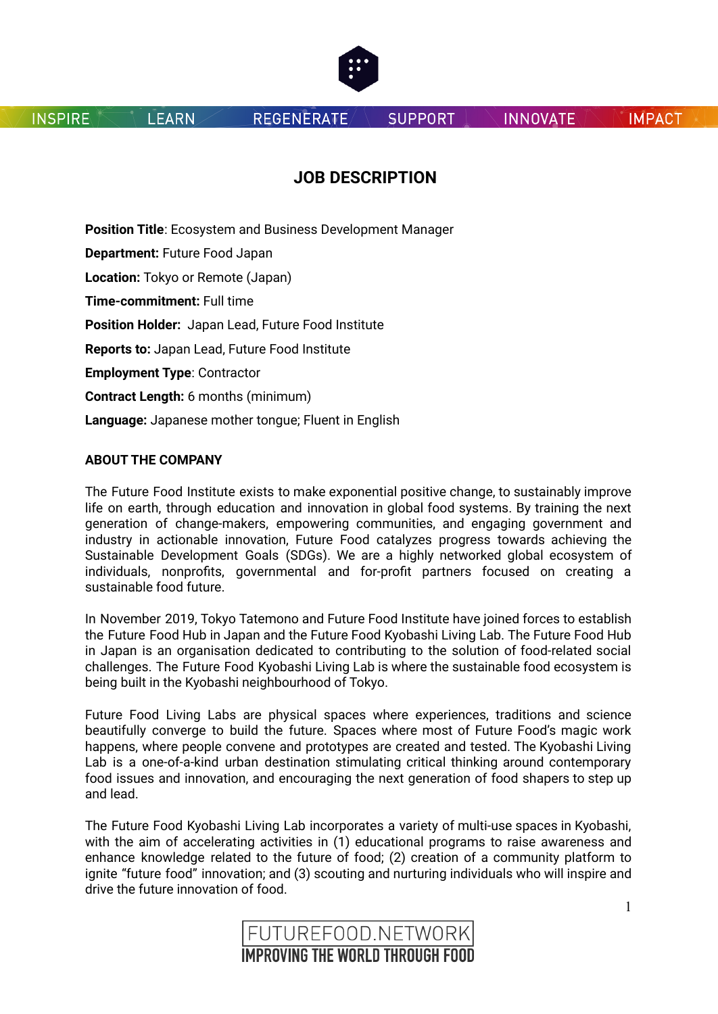

**LEARN** 

**REGENERATE** 

**SUPPORT** 

**INNOVATE** 

**IMPACT** 

# **JOB DESCRIPTION**

**Position Title**: Ecosystem and Business Development Manager **Department:** Future Food Japan **Location:** Tokyo or Remote (Japan) **Time-commitment:** Full time **Position Holder:** Japan Lead, Future Food Institute **Reports to:** Japan Lead, Future Food Institute **Employment Type**: Contractor **Contract Length:** 6 months (minimum) **Language:** Japanese mother tongue; Fluent in English

## **ABOUT THE COMPANY**

The Future Food Institute exists to make exponential positive change, to sustainably improve life on earth, through education and innovation in global food systems. By training the next generation of change-makers, empowering communities, and engaging government and industry in actionable innovation, Future Food catalyzes progress towards achieving the Sustainable Development Goals (SDGs). We are a highly networked global ecosystem of individuals, nonprofits, governmental and for-profit partners focused on creating a sustainable food future.

In November 2019, Tokyo Tatemono and Future Food Institute have joined forces to establish the Future Food Hub in Japan and the Future Food Kyobashi Living Lab. The Future Food Hub in Japan is an organisation dedicated to contributing to the solution of food-related social challenges. The Future Food Kyobashi Living Lab is where the sustainable food ecosystem is being built in the Kyobashi neighbourhood of Tokyo.

Future Food Living Labs are physical spaces where experiences, traditions and science beautifully converge to build the future. Spaces where most of Future Food's magic work happens, where people convene and prototypes are created and tested. The Kyobashi Living Lab is a one-of-a-kind urban destination stimulating critical thinking around contemporary food issues and innovation, and encouraging the next generation of food shapers to step up and lead.

The Future Food Kyobashi Living Lab incorporates a variety of multi-use spaces in Kyobashi, with the aim of accelerating activities in (1) educational programs to raise awareness and enhance knowledge related to the future of food; (2) creation of a community platform to ignite "future food" innovation; and (3) scouting and nurturing individuals who will inspire and drive the future innovation of food.

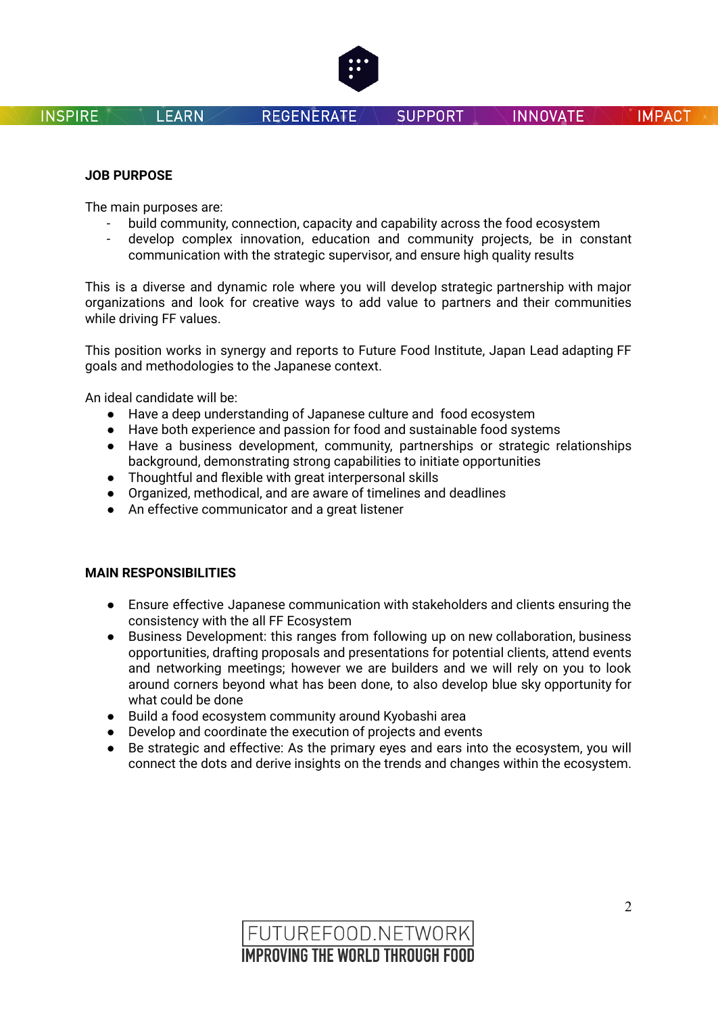

## **JOB PURPOSE**

The main purposes are:

**LEARN** 

- build community, connection, capacity and capability across the food ecosystem
- develop complex innovation, education and community projects, be in constant communication with the strategic supervisor, and ensure high quality results

This is a diverse and dynamic role where you will develop strategic partnership with major organizations and look for creative ways to add value to partners and their communities while driving FF values.

This position works in synergy and reports to Future Food Institute, Japan Lead adapting FF goals and methodologies to the Japanese context.

An ideal candidate will be:

- Have a deep understanding of Japanese culture and food ecosystem
- Have both experience and passion for food and sustainable food systems
- Have a business development, community, partnerships or strategic relationships background, demonstrating strong capabilities to initiate opportunities
- Thoughtful and flexible with great interpersonal skills
- Organized, methodical, and are aware of timelines and deadlines
- An effective communicator and a great listener

## **MAIN RESPONSIBILITIES**

- Ensure effective Japanese communication with stakeholders and clients ensuring the consistency with the all FF Ecosystem
- Business Development: this ranges from following up on new collaboration, business opportunities, drafting proposals and presentations for potential clients, attend events and networking meetings; however we are builders and we will rely on you to look around corners beyond what has been done, to also develop blue sky opportunity for what could be done
- Build a food ecosystem community around Kyobashi area
- Develop and coordinate the execution of projects and events
- Be strategic and effective: As the primary eyes and ears into the ecosystem, you will connect the dots and derive insights on the trends and changes within the ecosystem.